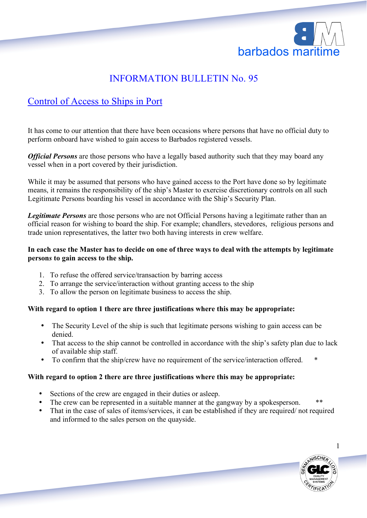

# INFORMATION BULLETIN No. 95

# Control of Access to Ships in Port

It has come to our attention that there have been occasions where persons that have no official duty to perform onboard have wished to gain access to Barbados registered vessels.

*Official Persons* are those persons who have a legally based authority such that they may board any vessel when in a port covered by their jurisdiction.

While it may be assumed that persons who have gained access to the Port have done so by legitimate means, it remains the responsibility of the ship's Master to exercise discretionary controls on all such Legitimate Persons boarding his vessel in accordance with the Ship's Security Plan.

*Legitimate Persons* are those persons who are not Official Persons having a legitimate rather than an official reason for wishing to board the ship. For example; chandlers, stevedores, religious persons and trade union representatives, the latter two both having interests in crew welfare.

## **In each case the Master has to decide on one of three ways to deal with the attempts by legitimate person***s* **to gain access to the ship.**

- 1. To refuse the offered service/transaction by barring access
- 2. To arrange the service/interaction without granting access to the ship
- 3. To allow the person on legitimate business to access the ship.

# **With regard to option 1 there are three justifications where this may be appropriate:**

- The Security Level of the ship is such that legitimate persons wishing to gain access can be denied.
- That access to the ship cannot be controlled in accordance with the ship's safety plan due to lack of available ship staff.
- To confirm that the ship/crew have no requirement of the service/interaction offered. \*

# **With regard to option 2 there are three justifications where this may be appropriate:**

- Sections of the crew are engaged in their duties or asleep.
- The crew can be represented in a suitable manner at the gangway by a spokesperson.
- That in the case of sales of items/services, it can be established if they are required/ not required and informed to the sales person on the quayside.



1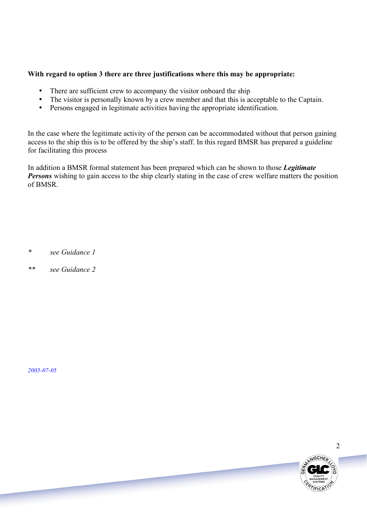# **With regard to option 3 there are three justifications where this may be appropriate:**

- There are sufficient crew to accompany the visitor onboard the ship
- The visitor is personally known by a crew member and that this is acceptable to the Captain.
- Persons engaged in legitimate activities having the appropriate identification.

In the case where the legitimate activity of the person can be accommodated without that person gaining access to the ship this is to be offered by the ship's staff. In this regard BMSR has prepared a guideline for facilitating this process

In addition a BMSR formal statement has been prepared which can be shown to those *Legitimate Persons* wishing to gain access to the ship clearly stating in the case of crew welfare matters the position of BMSR.

*\* see Guidance 1*

*\*\* see Guidance 2*

*2005-07-05*

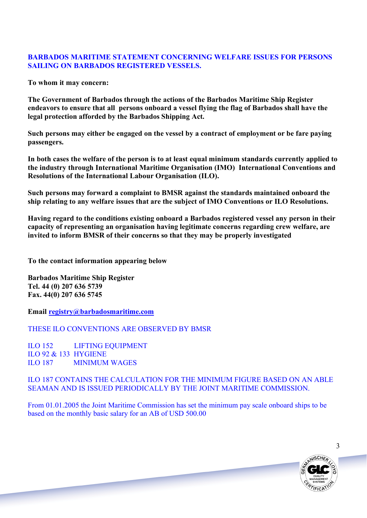# **BARBADOS MARITIME STATEMENT CONCERNING WELFARE ISSUES FOR PERSONS SAILING ON BARBADOS REGISTERED VESSELS.**

**To whom it may concern:**

**The Government of Barbados through the actions of the Barbados Maritime Ship Register endeavors to ensure that all persons onboard a vessel flying the flag of Barbados shall have the legal protection afforded by the Barbados Shipping Act.**

**Such persons may either be engaged on the vessel by a contract of employment or be fare paying passengers.**

**In both cases the welfare of the person is to at least equal minimum standards currently applied to the industry through International Maritime Organisation (IMO) International Conventions and Resolutions of the International Labour Organisation (ILO).**

**Such persons may forward a complaint to BMSR against the standards maintained onboard the ship relating to any welfare issues that are the subject of IMO Conventions or ILO Resolutions.**

**Having regard to the conditions existing onboard a Barbados registered vessel any person in their capacity of representing an organisation having legitimate concerns regarding crew welfare, are invited to inform BMSR of their concerns so that they may be properly investigated**

**To the contact information appearing below**

**Barbados Maritime Ship Register Tel. 44 (0) 207 636 5739 Fax. 44(0) 207 636 5745**

**Email registry@barbadosmaritime.com**

THESE ILO CONVENTIONS ARE OBSERVED BY BMSR

ILO 152 LIFTING EQUIPMENT ILO 92 & 133 HYGIENE ILO 187 MINIMUM WAGES

ILO 187 CONTAINS THE CALCULATION FOR THE MINIMUM FIGURE BASED ON AN ABLE SEAMAN AND IS ISSUED PERIODICALLY BY THE JOINT MARITIME COMMISSION.

From 01.01.2005 the Joint Maritime Commission has set the minimum pay scale onboard ships to be based on the monthly basic salary for an AB of USD 500.00



3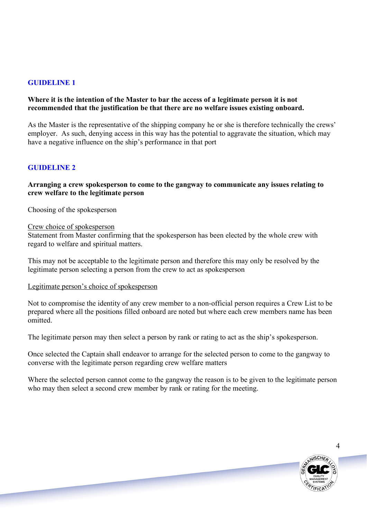# **GUIDELINE 1**

#### **Where it is the intention of the Master to bar the access of a legitimate person it is not recommended that the justification be that there are no welfare issues existing onboard.**

As the Master is the representative of the shipping company he or she is therefore technically the crews' employer. As such, denying access in this way has the potential to aggravate the situation, which may have a negative influence on the ship's performance in that port

# **GUIDELINE 2**

#### **Arranging a crew spokesperson to come to the gangway to communicate any issues relating to crew welfare to the legitimate person**

Choosing of the spokesperson

#### Crew choice of spokesperson

Statement from Master confirming that the spokesperson has been elected by the whole crew with regard to welfare and spiritual matters.

This may not be acceptable to the legitimate person and therefore this may only be resolved by the legitimate person selecting a person from the crew to act as spokesperson

#### Legitimate person's choice of spokesperson

Not to compromise the identity of any crew member to a non-official person requires a Crew List to be prepared where all the positions filled onboard are noted but where each crew members name has been omitted.

The legitimate person may then select a person by rank or rating to act as the ship's spokesperson.

Once selected the Captain shall endeavor to arrange for the selected person to come to the gangway to converse with the legitimate person regarding crew welfare matters

Where the selected person cannot come to the gangway the reason is to be given to the legitimate person who may then select a second crew member by rank or rating for the meeting.



4